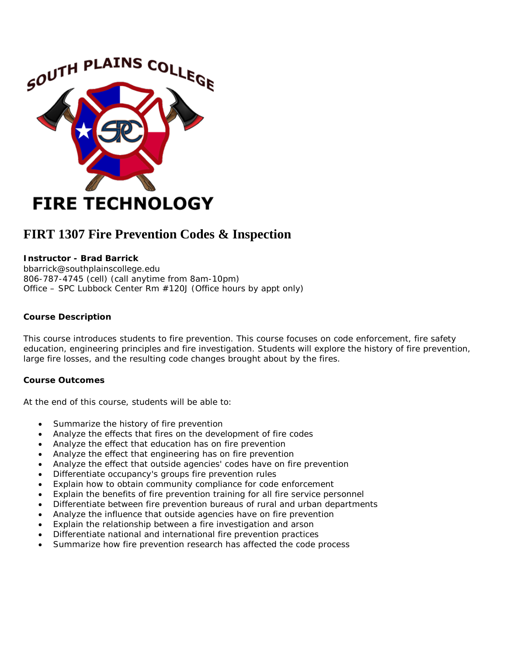

# **FIRT 1307 Fire Prevention Codes & Inspection**

# **Instructor - Brad Barrick**

bbarrick@southplainscollege.edu 806-787-4745 (cell) (call anytime from 8am-10pm) Office – SPC Lubbock Center Rm #120J (Office hours by appt only)

## **Course Description**

This course introduces students to fire prevention. This course focuses on code enforcement, fire safety education, engineering principles and fire investigation. Students will explore the history of fire prevention, large fire losses, and the resulting code changes brought about by the fires.

## **Course Outcomes**

At the end of this course, students will be able to:

- Summarize the history of fire prevention
- Analyze the effects that fires on the development of fire codes
- Analyze the effect that education has on fire prevention
- Analyze the effect that engineering has on fire prevention
- Analyze the effect that outside agencies' codes have on fire prevention
- Differentiate occupancy's groups fire prevention rules
- Explain how to obtain community compliance for code enforcement
- Explain the benefits of fire prevention training for all fire service personnel
- Differentiate between fire prevention bureaus of rural and urban departments
- Analyze the influence that outside agencies have on fire prevention
- Explain the relationship between a fire investigation and arson
- Differentiate national and international fire prevention practices
- Summarize how fire prevention research has affected the code process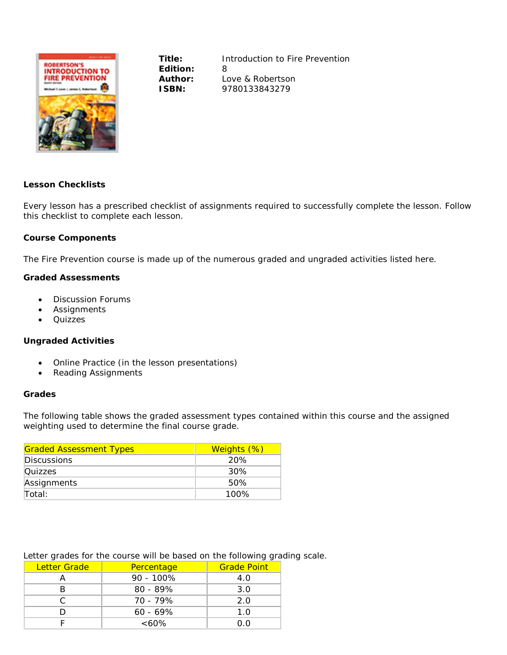

**Edition:** 8

**Title:** *Introduction to Fire Prevention* **Author:** Love & Robertson **ISBN:** 9780133843279

## **Lesson Checklists**

Every lesson has a prescribed checklist of assignments required to successfully complete the lesson. Follow this checklist to complete each lesson.

#### **Course Components**

The *Fire Prevention* course is made up of the numerous graded and ungraded activities listed here.

#### **Graded Assessments**

- Discussion Forums
- **Assignments**
- Quizzes

## **Ungraded Activities**

- Online Practice (in the lesson presentations)
- Reading Assignments

#### **Grades**

The following table shows the graded assessment types contained within this course and the assigned weighting used to determine the final course grade.

| <b>Graded Assessment Types</b> | Weights (%) |
|--------------------------------|-------------|
| Discussions                    | 20%         |
| <b>Quizzes</b>                 | 30%         |
| Assignments                    | 50%         |
| Total:                         | 100%        |

# Letter grades for the course will be based on the following grading scale.

| Letter Grade | Percentage   | <b>Grade Point</b> |
|--------------|--------------|--------------------|
|              | $90 - 100\%$ | 4.0                |
|              | $80 - 89%$   | 3.0                |
|              | 70 - 79%     | 2.0                |
|              | $60 - 69\%$  | 1.0                |
|              | $<60\%$      | ი ი                |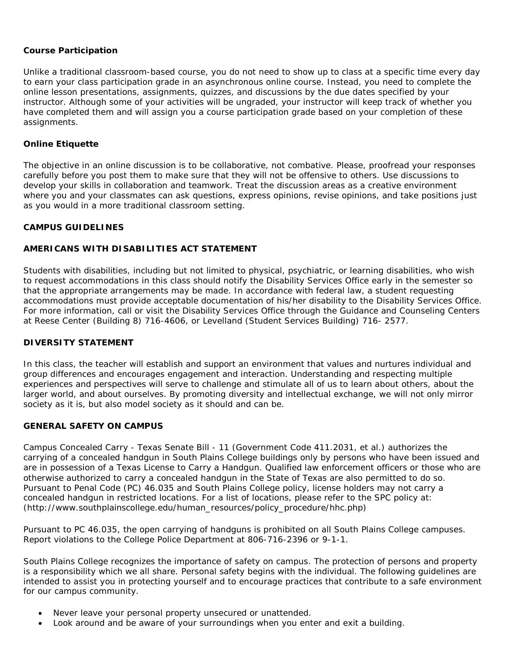# **Course Participation**

Unlike a traditional classroom-based course, you do not need to show up to class at a specific time every day to earn your class participation grade in an asynchronous online course. Instead, you need to complete the online lesson presentations, assignments, quizzes, and discussions by the due dates specified by your instructor. Although some of your activities will be ungraded, your instructor will keep track of whether you have completed them and will assign you a course participation grade based on your completion of these assignments.

## **Online Etiquette**

The objective in an online discussion is to be collaborative, *not* combative. Please, proofread your responses carefully before you post them to make sure that they will not be offensive to others. Use discussions to develop your skills in collaboration and teamwork. Treat the discussion areas as a creative environment where you and your classmates can ask questions, express opinions, revise opinions, and take positions just as you would in a more traditional classroom setting.

# **CAMPUS GUIDELINES**

## **AMERICANS WITH DISABILITIES ACT STATEMENT**

Students with disabilities, including but not limited to physical, psychiatric, or learning disabilities, who wish to request accommodations in this class should notify the Disability Services Office early in the semester so that the appropriate arrangements may be made. In accordance with federal law, a student requesting accommodations must provide acceptable documentation of his/her disability to the Disability Services Office. For more information, call or visit the Disability Services Office through the Guidance and Counseling Centers at Reese Center (Building 8) 716-4606, or Levelland (Student Services Building) 716- 2577.

## **DIVERSITY STATEMENT**

In this class, the teacher will establish and support an environment that values and nurtures individual and group differences and encourages engagement and interaction. Understanding and respecting multiple experiences and perspectives will serve to challenge and stimulate all of us to learn about others, about the larger world, and about ourselves. By promoting diversity and intellectual exchange, we will not only mirror society as it is, but also model society as it should and can be.

## **GENERAL SAFETY ON CAMPUS**

Campus Concealed Carry - Texas Senate Bill - 11 (Government Code 411.2031, et al.) authorizes the carrying of a concealed handgun in South Plains College buildings only by persons who have been issued and are in possession of a Texas License to Carry a Handgun. Qualified law enforcement officers or those who are otherwise authorized to carry a concealed handgun in the State of Texas are also permitted to do so. Pursuant to Penal Code (PC) 46.035 and South Plains College policy, license holders may not carry a concealed handgun in restricted locations. For a list of locations, please refer to the SPC policy at: (http://www.southplainscollege.edu/human\_resources/policy\_procedure/hhc.php)

Pursuant to PC 46.035, the open carrying of handguns is prohibited on all South Plains College campuses. Report violations to the College Police Department at 806-716-2396 or 9-1-1.

South Plains College recognizes the importance of safety on campus. The protection of persons and property is a responsibility which we all share. Personal safety begins with the individual. The following guidelines are intended to assist you in protecting yourself and to encourage practices that contribute to a safe environment for our campus community.

- Never leave your personal property unsecured or unattended.
- Look around and be aware of your surroundings when you enter and exit a building.